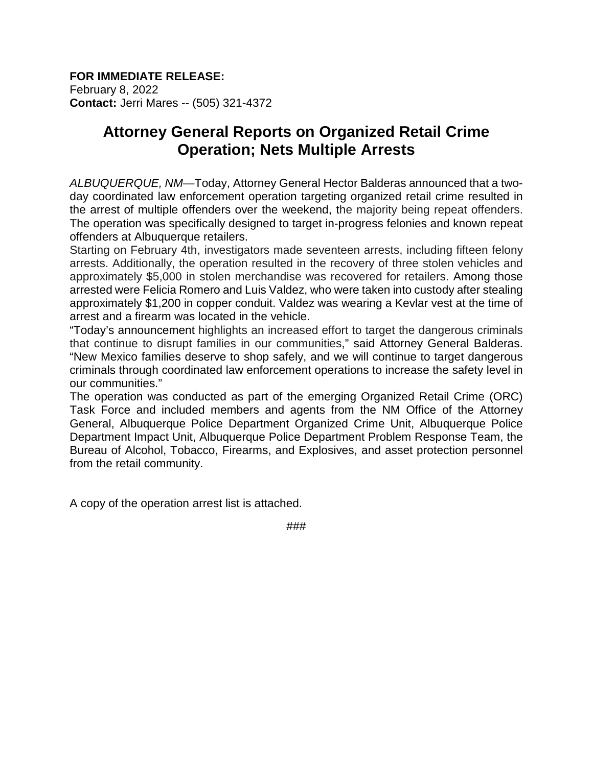#### **FOR IMMEDIATE RELEASE:** February 8, 2022 **Contact:** Jerri Mares -- (505) 321-4372

# **Attorney General Reports on Organized Retail Crime Operation; Nets Multiple Arrests**

*ALBUQUERQUE, NM*—Today, Attorney General Hector Balderas announced that a twoday coordinated law enforcement operation targeting organized retail crime resulted in the arrest of multiple offenders over the weekend, the majority being repeat offenders. The operation was specifically designed to target in-progress felonies and known repeat offenders at Albuquerque retailers.

Starting on February 4th, investigators made seventeen arrests, including fifteen felony arrests. Additionally, the operation resulted in the recovery of three stolen vehicles and approximately \$5,000 in stolen merchandise was recovered for retailers. Among those arrested were Felicia Romero and Luis Valdez, who were taken into custody after stealing approximately \$1,200 in copper conduit. Valdez was wearing a Kevlar vest at the time of arrest and a firearm was located in the vehicle.

"Today's announcement highlights an increased effort to target the dangerous criminals that continue to disrupt families in our communities," said Attorney General Balderas. "New Mexico families deserve to shop safely, and we will continue to target dangerous criminals through coordinated law enforcement operations to increase the safety level in our communities."

The operation was conducted as part of the emerging Organized Retail Crime (ORC) Task Force and included members and agents from the NM Office of the Attorney General, Albuquerque Police Department Organized Crime Unit, Albuquerque Police Department Impact Unit, Albuquerque Police Department Problem Response Team, the Bureau of Alcohol, Tobacco, Firearms, and Explosives, and asset protection personnel from the retail community.

A copy of the operation arrest list is attached.

###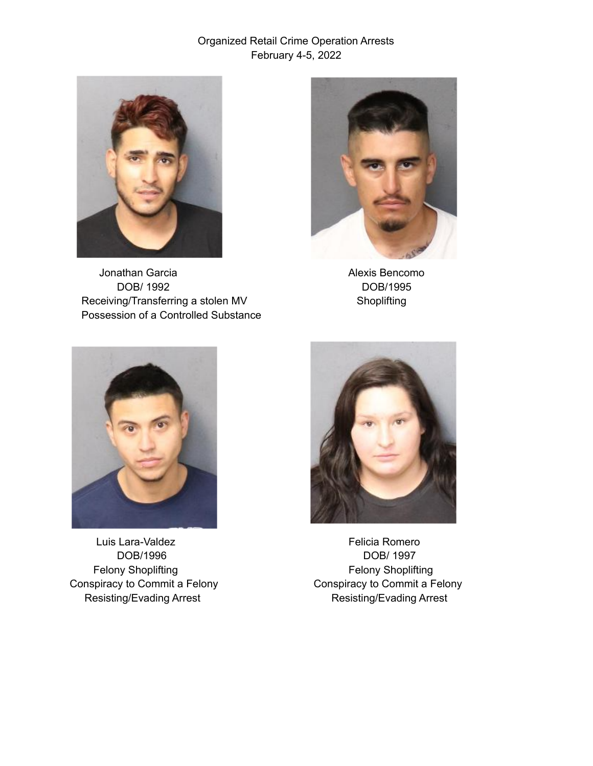

Jonathan Garcia **Alexis Bencomo** DOB/ 1992 DOB/1995 Receiving/Transferring a stolen MV Shoplifting Possession of a Controlled Substance





Luis Lara-Valdez **Felicia** Romero Felony Shoplifting Theory Shoplifting Felony Shoplifting Resisting/Evading Arrest Resisting/Evading Arrest



DOB/1996 DOB/ 1997 Conspiracy to Commit a Felony Conspiracy to Commit a Felony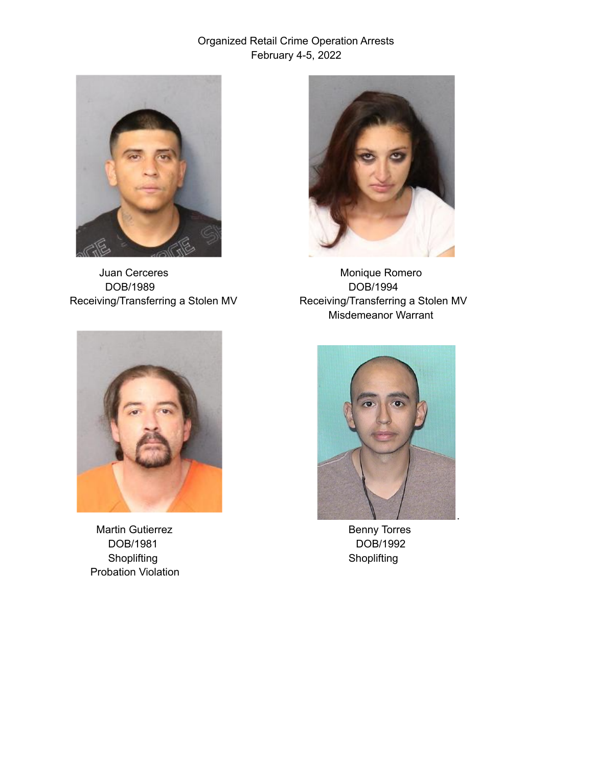

DOB/1989 DOB/1994



Juan Cerceres **Monique Romero** Monique Romero Receiving/Transferring a Stolen MV Receiving/Transferring a Stolen MV Misdemeanor Warrant



Martin Gutierrez **Benny Torres** Benny Torres DOB/1981 DOB/1992 Shoplifting Shoplifting Shoplifting Probation Violation

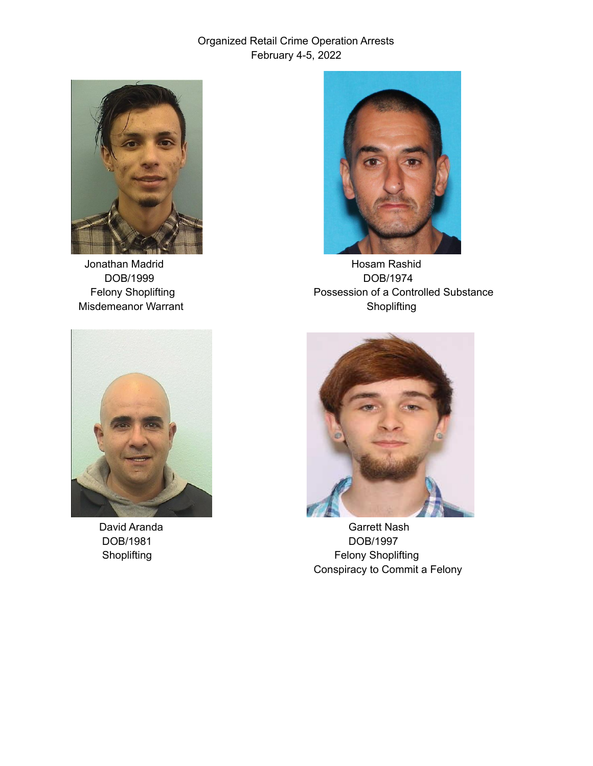





Jonathan Madrid **Hosam Rashid** Hosam Rashid DOB/1999 DOB/1974 Felony Shoplifting **Possession of a Controlled Substance** Misdemeanor Warrant **Shoplifting** Shoplifting



David Aranda Garrett Nash DOB/1981 DOB/1997 Shoplifting **Felony Shoplifting** Conspiracy to Commit a Felony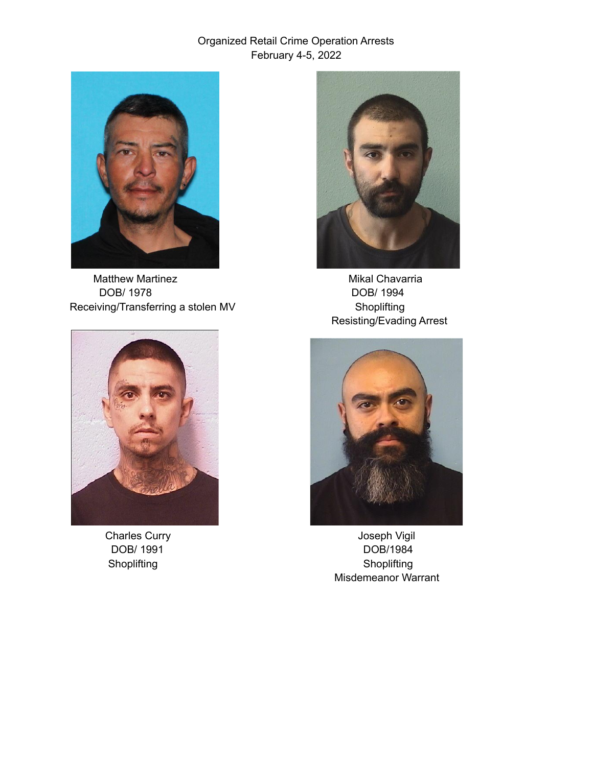

Matthew Martinez **Mikal Chavarria** DOB/ 1978 DOB/ 1994 Receiving/Transferring a stolen MV Shoplifting





Resisting/Evading Arrest



Charles Curry **Charles Curry Charles Curry Act 2018** DOB/ 1991 DOB/1984 Shoplifting Shoplifting Shoplifting Shoplifting Misdemeanor Warrant